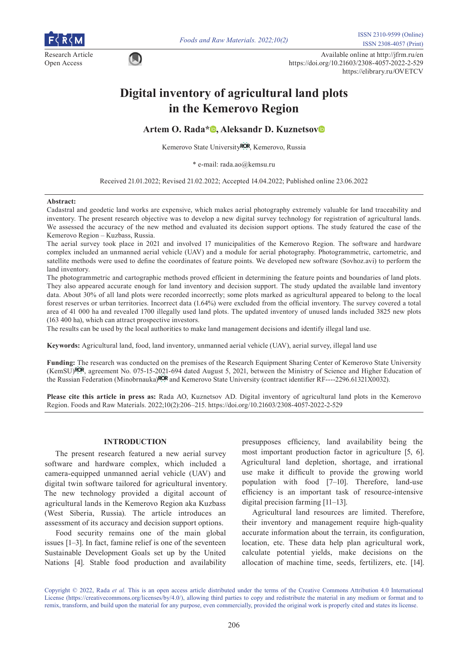

Research Article Available online at http://jfrm.ru/en<br>  $\bigcap_{k \geq 0}$  Available online at http://jfrm.ru/en Open Access https://doi.org/10.21603/2308-4057-2022-2-529 https://elibrary.ru/OVETCV

# **Digital inventory of agricultural land plots in the Kemerovo Region**

**Artem O. Rada[\\*](https://orcid.org/0000-0001-7678-8402) , Aleksandr D. Kuznetso[v](https://orcid.org/0000-0002-1986-3039)**

Kemerovo State University<sup>ROR</sup>[,](https://ror.org/036yvre49) Kemerovo, Russia

\* e-mail: rada.ao@kemsu.ru

Received 21.01.2022; Revised 21.02.2022; Accepted 14.04.2022; Published online 23.06.2022

#### **Abstract:**

Cadastral and geodetic land works are expensive, which makes aerial photography extremely valuable for land traceability and inventory. The present research objective was to develop a new digital survey technology for registration of agricultural lands. We assessed the accuracy of the new method and evaluated its decision support options. The study featured the case of the Kemerovo Region – Kuzbass, Russia.

The aerial survey took place in 2021 and involved 17 municipalities of the Kemerovo Region. The software and hardware complex included an unmanned aerial vehicle (UAV) and a module for aerial photography. Photogrammetric, cartometric, and satellite methods were used to define the coordinates of feature points. We developed new software (Sovhoz.avi) to perform the land inventory.

The photogrammetric and cartographic methods proved efficient in determining the feature points and boundaries of land plots. They also appeared accurate enough for land inventory and decision support. The study updated the available land inventory data. About 30% of all land plots were recorded incorrectly; some plots marked as agricultural appeared to belong to the local forest reserves or urban territories. Incorrect data (1.64%) were excluded from the official inventory. The survey covered a total area of 41 000 ha and revealed 1700 illegally used land plots. The updated inventory of unused lands included 3825 new plots (163 400 ha), which can attract prospective investors.

The results can be used by the local authorities to make land management decisions and identify illegal land use.

**Keywords:** Agricultural land, food, land inventory, unmanned aerial vehicle (UAV), aerial survey, illegal land use

**Funding:** [The](https://ror.org/036yvre49) research was conducted on the premises of the Research Equipment Sharing Center of Kemerovo State University (KemSU) ROR, agreement No. 075-15-[2021-](https://ror.org/00ghqgy32)694 dated August 5, 2021, between the Ministry of Science and Higher Education of the Russian Federation (Minobrnauka) ROR and Kemerovo State University (contract identifier RF----2296.61321X0032).

**Please cite this article in press as:** Rada AO, Kuznetsov AD. Digital inventory of agricultural land plots in the Kemerovo Region. Foods and Raw Materials. 2022;10(2):206–215. https://doi.org/10.21603/2308-4057-2022-2-529

# **INTRODUCTION**

The present research featured a new aerial survey software and hardware complex, which included a camera-equipped unmanned aerial vehicle (UAV) and digital twin software tailored for agricultural inventory. The new technology provided a digital account of agricultural lands in the Kemerovo Region aka Kuzbass (West Siberia, Russia). The article introduces an assessment of its accuracy and decision support options.

Food security remains one of the main global issues [1–3]. In fact, famine relief is one of the seventeen Sustainable Development Goals set up by the United Nations [4]. Stable food production and availability

presupposes efficiency, land availability being the most important production factor in agriculture [5, 6]. Agricultural land depletion, shortage, and irrational use make it difficult to provide the growing world population with food [7–10]. Therefore, land-use efficiency is an important task of resource-intensive digital precision farming [11–13].

Agricultural land resources are limited. Therefore, their inventory and management require high-quality accurate information about the terrain, its configuration, location, etc. These data help plan agricultural work, calculate potential yields, make decisions on the allocation of machine time, seeds, fertilizers, etc. [14].

Copyright © 2022, Rada *et al.* This is an open access article distributed under the terms of the Creative Commons Attribution 4.0 International License (https://creativecommons.org/licenses/by/4.0/), allowing third parties to copy and redistribute the material in any medium or format and to remix, transform, and build upon the material for any purpose, even commercially, provided the original work is properly cited and states its license.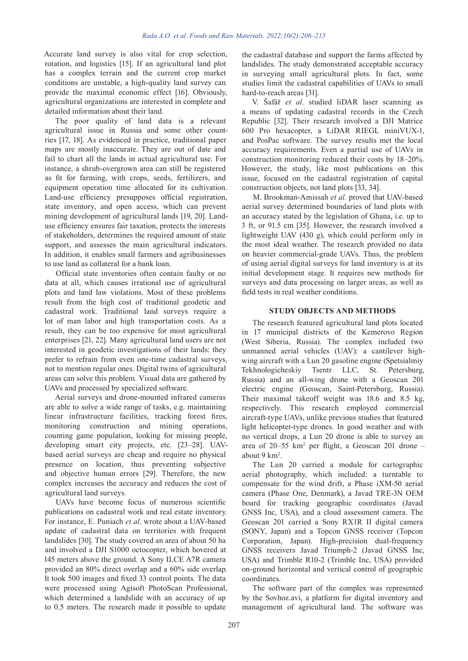Accurate land survey is also vital for crop selection, rotation, and logistics [15]. If an agricultural land plot has a complex terrain and the current crop market conditions are unstable, a high-quality land survey can provide the maximal economic effect [16]. Obviously, agricultural organizations are interested in complete and detailed information about their land.

The poor quality of land data is a relevant agricultural issue in Russia and some other countries [17, 18]. As evidenced in practice, traditional paper maps are mostly inaccurate. They are out of date and fail to chart all the lands in actual agricultural use. For instance, a shrub-overgrown area can still be registered as fit for farming, with crops, seeds, fertilizers, and equipment operation time allocated for its cultivation. Land-use efficiency presupposes official registration, state inventory, and open access, which can prevent mining development of agricultural lands [19, 20]. Landuse efficiency ensures fair taxation, protects the interests of stakeholders, determines the required amount of state support, and assesses the main agricultural indicators. In addition, it enables small farmers and agribusinesses to use land as collateral for a bank loan.

Official state inventories often contain faulty or no data at all, which causes irrational use of agricultural plots and land law violations. Most of these problems result from the high cost of traditional geodetic and cadastral work. Traditional land surveys require a lot of man labor and high transportation costs. As a result, they can be too expensive for most agricultural enterprises [21, 22]. Many agricultural land users are not interested in geodetic investigations of their lands: they prefer to refrain from even one-time cadastral surveys, not to mention regular ones. Digital twins of agricultural areas can solve this problem. Visual data are gathered by UAVs and processed by specialized software.

Aerial surveys and drone-mounted infrared cameras are able to solve a wide range of tasks, e.g. maintaining linear infrastructure facilities, tracking forest fires, monitoring construction and mining operations, counting game population, looking for missing people, developing smart city projects, etc. [23–28]. UAVbased aerial surveys are cheap and require no physical presence on location, thus preventing subjective and objective human errors [29]. Therefore, the new complex increases the accuracy and reduces the cost of agricultural land surveys.

UAVs have become focus of numerous scientific publications on cadastral work and real estate inventory. For instance, E. Puniach *et al*. wrote about a UAV-based update of cadastral data on territories with frequent landslides [30]. The study covered an area of about 50 ha and involved a DJI S1000 octocopter, which hovered at 145 meters above the ground. A Sony ILCE A7R camera provided an 80% direct overlap and a 60% side overlap. It took 500 images and fixed 33 control points. The data were processed using Agisoft PhotoScan Professional, which determined a landslide with an accuracy of up to 0.5 meters. The research made it possible to update

the cadastral database and support the farms affected by landslides. The study demonstrated acceptable accuracy in surveying small agricultural plots. In fact, some studies limit the cadastral capabilities of UAVs to small hard-to-reach areas [31].

V. Šafář *et al*. studied liDAR laser scanning as a means of updating cadastral records in the Czech Republic [32]. Their research involved a DJI Matrice 600 Pro hexacopter, a LiDAR RIEGL miniVUX-1, and PosPac software. The survey results met the local accuracy requirements. Even a partial use of UAVs in construction monitoring reduced their costs by 18–20%. However, the study, like most publications on this issue, focused on the cadastral registration of capital construction objects, not land plots [33, 34].

M. Brookman-Amissah *et al.* proved that UAV-based aerial survey determined boundaries of land plots with an accuracy stated by the legislation of Ghana, i.e. up to 3 ft, or 91.5 cm [35]. However, the research involved a lightweight UAV (430 g), which could perform only in the most ideal weather. The research provided no data on heavier commercial-grade UAVs. Thus, the problem of using aerial digital surveys for land inventory is at its initial development stage. It requires new methods for surveys and data processing on larger areas, as well as field tests in real weather conditions.

# **STUDY OBJECTS AND METHODS**

The research featured agricultural land plots located in 17 municipal districts of the Kemerovo Region (West Siberia, Russia). The complex included two unmanned aerial vehicles (UAV): a cantilever highwing aircraft with a Lun 20 gasoline engine (Spetsialmiy Tekhnologicheskiy Tsentr LLC, St. Petersburg, Russia) and an all-wing drone with a Geoscan 201 electric engine (Geoscan, Saint-Petersburg, Russia). Their maximal takeoff weight was 18.6 and 8.5 kg, respectively. This research employed commercial aircraft-type UAVs, unlike previous studies that featured light helicopter-type drones. In good weather and with no vertical drops, a Lun 20 drone is able to survey an area of 20–55 km2 per flight, a Geoscan 201 drone – about 9 km2 .

The Lun 20 carried a module for cartographic aerial photography, which included: a turntable to compensate for the wind drift, a Phase iXM-50 aerial camera (Phase One, Denmark), a Javad TRE-3N OEM board for tracking geographic coordinates (Javad GNSS Inc, USA), and a cloud assessment camera. The Geoscan 201 carried a Sony RX1R II digital camera (SONY, Japan) and a Topcon GNSS receiver (Topcon Corporation, Japan). High-precision dual-frequency GNSS receivers Javad Triumph-2 (Javad GNSS Inc, USA) and Trimble R10-2 (Trimble Inc, USA) provided on-ground horizontal and vertical control of geographic coordinates.

The software part of the complex was represented by the Sovhoz.avi, a platform for digital inventory and management of agricultural land. The software was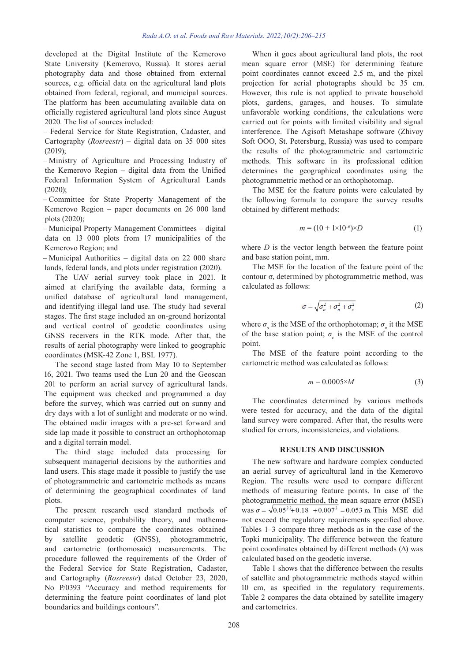developed at the Digital Institute of the Kemerovo State University (Kemerovo, Russia). It stores aerial photography data and those obtained from external sources, e.g. official data on the agricultural land plots obtained from federal, regional, and municipal sources. The platform has been accumulating available data on officially registered agricultural land plots since August 2020. The list of sources included:

– Federal Service for State Registration, Cadaster, and Cartography (*Rosreestr*) – digital data on 35 000 sites (2019);

– Ministry of Agriculture and Processing Industry of the Kemerovo Region – digital data from the Unified Federal Information System of Agricultural Lands (2020);

– Committee for State Property Management of the Kemerovo Region – paper documents on 26 000 land plots (2020);

– Municipal Property Management Committees – digital data on 13 000 plots from 17 municipalities of the Kemerovo Region; and

– Municipal Authorities – digital data on 22 000 share lands, federal lands, and plots under registration (2020).

The UAV aerial survey took place in 2021. It aimed at clarifying the available data, forming a unified database of agricultural land management, and identifying illegal land use. The study had several stages. The first stage included an on-ground horizontal and vertical control of geodetic coordinates using GNSS receivers in the RTK mode. After that, the results of aerial photography were linked to geographic coordinates (MSK-42 Zone 1, BSL 1977).

The second stage lasted from May 10 to September 16, 2021. Two teams used the Lun 20 and the Geoscan 201 to perform an aerial survey of agricultural lands. The equipment was checked and programmed a day before the survey, which was carried out on sunny and dry days with a lot of sunlight and moderate or no wind. The obtained nadir images with a pre-set forward and side lap made it possible to construct an orthophotomap and a digital terrain model.

The third stage included data processing for subsequent managerial decisions by the authorities and land users. This stage made it possible to justify the use of photogrammetric and cartometric methods as means of determining the geographical coordinates of land plots.

The present research used standard methods of computer science, probability theory, and mathematical statistics to compare the coordinates obtained by satellite geodetic (GNSS), photogrammetric, and cartometric (orthomosaic) measurements. The procedure followed the requirements of the Order of the Federal Service for State Registration, Cadaster, and Cartography (*Rosreestr*) dated October 23, 2020, No P/0393 "Accuracy and method requirements for determining the feature point coordinates of land plot boundaries and buildings contours".

When it goes about agricultural land plots, the root mean square error (MSE) for determining feature point coordinates cannot exceed 2.5 m, and the pixel projection for aerial photographs should be 35 cm. However, this rule is not applied to private household plots, gardens, garages, and houses. To simulate unfavorable working conditions, the calculations were carried out for points with limited visibility and signal interference. The Agisoft Metashape software (Zhivoy Soft OOO, St. Petersburg, Russia) was used to compare the results of the photogrammetric and cartometric methods. This software in its professional edition determines the geographical coordinates using the photogrammetric method or an orthophotomap.

The MSE for the feature points were calculated by the following formula to compare the survey results obtained by different methods:

$$
m = (10 + 1 \times 10^{-6}) \times D \tag{1}
$$

where *D* is the vector length between the feature point and base station point, mm.

The MSE for the location of the feature point of the contour σ, determined by photogrammetric method, was calculated as follows:

$$
\sigma = \sqrt{\sigma_o^2 + \sigma_n^2 + \sigma_c^2} \tag{2}
$$

where  $\sigma_o$  is the MSE of the orthophotomap;  $\sigma_n$  it the MSE of the base station point;  $\sigma_c$  is the MSE of the control point.

The MSE of the feature point according to the cartometric method was calculated as follows:

$$
m = 0.0005 \times M \tag{3}
$$

The coordinates determined by various methods were tested for accuracy, and the data of the digital land survey were compared. After that, the results were studied for errors, inconsistencies, and violations.

#### **RESULTS AND DISCUSSION**

The new software and hardware complex conducted an aerial survey of agricultural land in the Kemerovo Region. The results were used to compare different methods of measuring feature points. In case of the photogrammetric method, the mean square error (MSE) was  $\sigma = \sqrt{0.05^{22} + 0.18 + 0.007^{2}} = 0.053$  m. This MSE did not exceed the regulatory requirements specified above. Tables 1–3 compare three methods as in the case of the Topki municipality. The difference between the feature point coordinates obtained by different methods (∆) was calculated based on the geodetic inverse.

Table 1 shows that the difference between the results of satellite and photogrammetric methods stayed within 10 cm, as specified in the regulatory requirements. Table 2 compares the data obtained by satellite imagery and cartometrics.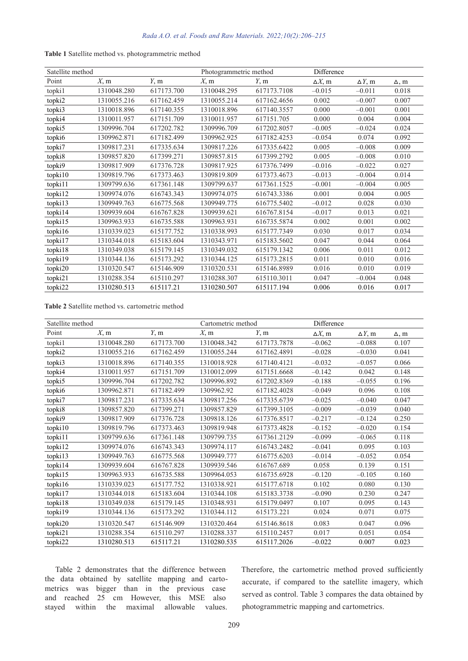| Satellite method |             |            | Photogrammetric method |             | Difference     |                |              |
|------------------|-------------|------------|------------------------|-------------|----------------|----------------|--------------|
| Point            | $X$ , m     | Y, m       | $X$ , m                | Y, m        | $\Delta X$ , m | $\Delta Y$ , m | $\Delta$ , m |
| topki1           | 1310048.280 | 617173.700 | 1310048.295            | 617173.7108 | $-0.015$       | $-0.011$       | 0.018        |
| topki2           | 1310055.216 | 617162.459 | 1310055.214            | 617162.4656 | 0.002          | $-0.007$       | 0.007        |
| topki3           | 1310018.896 | 617140.355 | 1310018.896            | 617140.3557 | 0.000          | $-0.001$       | 0.001        |
| topki4           | 1310011.957 | 617151.709 | 1310011.957            | 617151.705  | 0.000          | 0.004          | 0.004        |
| topki5           | 1309996.704 | 617202.782 | 1309996.709            | 617202.8057 | $-0.005$       | $-0.024$       | 0.024        |
| topki6           | 1309962.871 | 617182.499 | 1309962.925            | 617182.4253 | $-0.054$       | 0.074          | 0.092        |
| topki7           | 1309817.231 | 617335.634 | 1309817.226            | 617335.6422 | 0.005          | $-0.008$       | 0.009        |
| topki8           | 1309857.820 | 617399.271 | 1309857.815            | 617399.2792 | 0.005          | $-0.008$       | 0.010        |
| topki9           | 1309817.909 | 617376.728 | 1309817.925            | 617376.7499 | $-0.016$       | $-0.022$       | 0.027        |
| topki10          | 1309819.796 | 617373.463 | 1309819.809            | 617373.4673 | $-0.013$       | $-0.004$       | 0.014        |
| topki11          | 1309799.636 | 617361.148 | 1309799.637            | 617361.1525 | $-0.001$       | $-0.004$       | 0.005        |
| topki12          | 1309974.076 | 616743.343 | 1309974.075            | 616743.3386 | 0.001          | 0.004          | 0.005        |
| topki13          | 1309949.763 | 616775.568 | 1309949.775            | 616775.5402 | $-0.012$       | 0.028          | 0.030        |
| topki14          | 1309939.604 | 616767.828 | 1309939.621            | 616767.8154 | $-0.017$       | 0.013          | 0.021        |
| topki15          | 1309963.933 | 616735.588 | 1309963.931            | 616735.5874 | 0.002          | 0.001          | 0.002        |
| topki16          | 1310339.023 | 615177.752 | 1310338.993            | 615177.7349 | 0.030          | 0.017          | 0.034        |
| topki17          | 1310344.018 | 615183.604 | 1310343.971            | 615183.5602 | 0.047          | 0.044          | 0.064        |
| topki18          | 1310349.038 | 615179.145 | 1310349.032            | 615179.1342 | 0.006          | 0.011          | 0.012        |
| topki19          | 1310344.136 | 615173.292 | 1310344.125            | 615173.2815 | 0.011          | 0.010          | 0.016        |
| topki20          | 1310320.547 | 615146.909 | 1310320.531            | 615146.8989 | 0.016          | 0.010          | 0.019        |
| topki21          | 1310288.354 | 615110.297 | 1310288.307            | 615110.3011 | 0.047          | $-0.004$       | 0.048        |
| topki22          | 1310280.513 | 615117.21  | 1310280.507            | 615117.194  | 0.006          | 0.016          | 0.017        |
|                  |             |            |                        |             |                |                |              |

|  |  |  |  | Table 1 Satellite method vs. photogrammetric method |  |  |
|--|--|--|--|-----------------------------------------------------|--|--|
|--|--|--|--|-----------------------------------------------------|--|--|

**Table 2** Satellite method vs. cartometric method

| Satellite method |             |            | Cartometric method |             | Difference     |                |              |
|------------------|-------------|------------|--------------------|-------------|----------------|----------------|--------------|
| Point            | $X$ , m     | Y, m       | $X$ , m            | Y, m        | $\Delta X$ , m | $\Delta Y$ , m | $\Delta$ , m |
| topki1           | 1310048.280 | 617173.700 | 1310048.342        | 617173.7878 | $-0.062$       | $-0.088$       | 0.107        |
| topki2           | 1310055.216 | 617162.459 | 1310055.244        | 617162.4891 | $-0.028$       | $-0.030$       | 0.041        |
| topki3           | 1310018.896 | 617140.355 | 1310018.928        | 617140.4121 | $-0.032$       | $-0.057$       | 0.066        |
| topki4           | 1310011.957 | 617151.709 | 1310012.099        | 617151.6668 | $-0.142$       | 0.042          | 0.148        |
| topki5           | 1309996.704 | 617202.782 | 1309996.892        | 617202.8369 | $-0.188$       | $-0.055$       | 0.196        |
| topki6           | 1309962.871 | 617182.499 | 1309962.92         | 617182.4028 | $-0.049$       | 0.096          | 0.108        |
| topki7           | 1309817.231 | 617335.634 | 1309817.256        | 617335.6739 | $-0.025$       | $-0.040$       | 0.047        |
| topki8           | 1309857.820 | 617399.271 | 1309857.829        | 617399.3105 | $-0.009$       | $-0.039$       | 0.040        |
| topki9           | 1309817.909 | 617376.728 | 1309818.126        | 617376.8517 | $-0.217$       | $-0.124$       | 0.250        |
| topki10          | 1309819.796 | 617373.463 | 1309819.948        | 617373.4828 | $-0.152$       | $-0.020$       | 0.154        |
| topki11          | 1309799.636 | 617361.148 | 1309799.735        | 617361.2129 | $-0.099$       | $-0.065$       | 0.118        |
| topki12          | 1309974.076 | 616743.343 | 1309974.117        | 616743.2482 | $-0.041$       | 0.095          | 0.103        |
| topki13          | 1309949.763 | 616775.568 | 1309949.777        | 616775.6203 | $-0.014$       | $-0.052$       | 0.054        |
| topki14          | 1309939.604 | 616767.828 | 1309939.546        | 616767.689  | 0.058          | 0.139          | 0.151        |
| topki15          | 1309963.933 | 616735.588 | 1309964.053        | 616735.6928 | $-0.120$       | $-0.105$       | 0.160        |
| topki16          | 1310339.023 | 615177.752 | 1310338.921        | 615177.6718 | 0.102          | 0.080          | 0.130        |
| topki17          | 1310344.018 | 615183.604 | 1310344.108        | 615183.3738 | $-0.090$       | 0.230          | 0.247        |
| topki18          | 1310349.038 | 615179.145 | 1310348.931        | 615179.0497 | 0.107          | 0.095          | 0.143        |
| topki19          | 1310344.136 | 615173.292 | 1310344.112        | 615173.221  | 0.024          | 0.071          | 0.075        |
| topki20          | 1310320.547 | 615146.909 | 1310320.464        | 615146.8618 | 0.083          | 0.047          | 0.096        |
| topki21          | 1310288.354 | 615110.297 | 1310288.337        | 615110.2457 | 0.017          | 0.051          | 0.054        |
| topki22          | 1310280.513 | 615117.21  | 1310280.535        | 615117.2026 | $-0.022$       | 0.007          | 0.023        |

Table 2 demonstrates that the difference between the data obtained by satellite mapping and cartometrics was bigger than in the previous case and reached 25 cm However, this MSE also stayed within the maximal allowable values.

Therefore, the cartometric method proved sufficiently accurate, if compared to the satellite imagery, which served as control. Table 3 compares the data obtained by photogrammetric mapping and cartometrics.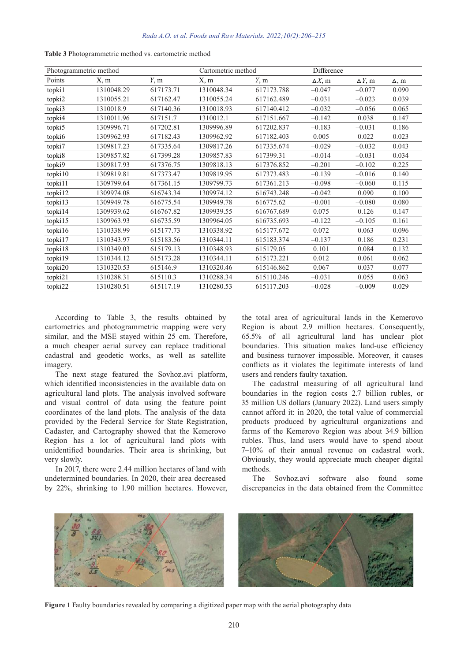| Photogrammetric method |            |           | Cartometric method |            | Difference     |                |              |
|------------------------|------------|-----------|--------------------|------------|----------------|----------------|--------------|
| Points                 | X, m       | Y, m      | X, m               | Y, m       | $\Delta X$ , m | $\Delta Y$ , m | $\Delta$ , m |
| topki1                 | 1310048.29 | 617173.71 | 1310048.34         | 617173.788 | $-0.047$       | $-0.077$       | 0.090        |
| topki2                 | 1310055.21 | 617162.47 | 1310055.24         | 617162.489 | $-0.031$       | $-0.023$       | 0.039        |
| topki3                 | 1310018.9  | 617140.36 | 1310018.93         | 617140.412 | $-0.032$       | $-0.056$       | 0.065        |
| topki4                 | 1310011.96 | 617151.7  | 1310012.1          | 617151.667 | $-0.142$       | 0.038          | 0.147        |
| topki5                 | 1309996.71 | 617202.81 | 1309996.89         | 617202.837 | $-0.183$       | $-0.031$       | 0.186        |
| topki6                 | 1309962.93 | 617182.43 | 1309962.92         | 617182.403 | 0.005          | 0.022          | 0.023        |
| topki7                 | 1309817.23 | 617335.64 | 1309817.26         | 617335.674 | $-0.029$       | $-0.032$       | 0.043        |
| topki8                 | 1309857.82 | 617399.28 | 1309857.83         | 617399.31  | $-0.014$       | $-0.031$       | 0.034        |
| topki9                 | 1309817.93 | 617376.75 | 1309818.13         | 617376.852 | $-0.201$       | $-0.102$       | 0.225        |
| topki10                | 1309819.81 | 617373.47 | 1309819.95         | 617373.483 | $-0.139$       | $-0.016$       | 0.140        |
| topki11                | 1309799.64 | 617361.15 | 1309799.73         | 617361.213 | $-0.098$       | $-0.060$       | 0.115        |
| topki12                | 1309974.08 | 616743.34 | 1309974.12         | 616743.248 | $-0.042$       | 0.090          | 0.100        |
| topki13                | 1309949.78 | 616775.54 | 1309949.78         | 616775.62  | $-0.001$       | $-0.080$       | 0.080        |
| topki14                | 1309939.62 | 616767.82 | 1309939.55         | 616767.689 | 0.075          | 0.126          | 0.147        |
| topki15                | 1309963.93 | 616735.59 | 1309964.05         | 616735.693 | $-0.122$       | $-0.105$       | 0.161        |
| topki16                | 1310338.99 | 615177.73 | 1310338.92         | 615177.672 | 0.072          | 0.063          | 0.096        |
| topki17                | 1310343.97 | 615183.56 | 1310344.11         | 615183.374 | $-0.137$       | 0.186          | 0.231        |
| topki18                | 1310349.03 | 615179.13 | 1310348.93         | 615179.05  | 0.101          | 0.084          | 0.132        |
| topki19                | 1310344.12 | 615173.28 | 1310344.11         | 615173.221 | 0.012          | 0.061          | 0.062        |
| topki20                | 1310320.53 | 615146.9  | 1310320.46         | 615146.862 | 0.067          | 0.037          | 0.077        |
| topki21                | 1310288.31 | 615110.3  | 1310288.34         | 615110.246 | $-0.031$       | 0.055          | 0.063        |
| topki22                | 1310280.51 | 615117.19 | 1310280.53         | 615117.203 | $-0.028$       | $-0.009$       | 0.029        |

**Table 3** Photogrammetric method vs. cartometric method

According to Table 3, the results obtained by cartometrics and photogrammetric mapping were very similar, and the MSE stayed within 25 cm. Therefore, a much cheaper aerial survey can replace traditional cadastral and geodetic works, as well as satellite imagery.

The next stage featured the Sovhoz.avi platform, which identified inconsistencies in the available data on agricultural land plots. The analysis involved software and visual control of data using the feature point coordinates of the land plots. The analysis of the data provided by the Federal Service for State Registration, Cadaster, and Cartography showed that the Kemerovo Region has a lot of agricultural land plots with unidentified boundaries. Their area is shrinking, but very slowly.

In 2017, there were 2.44 million hectares of land with undetermined boundaries. In 2020, their area decreased by 22%, shrinking to 1.90 million hectares. However, the total area of agricultural lands in the Kemerovo Region is about 2.9 million hectares. Consequently, 65.5% of all agricultural land has unclear plot boundaries. This situation makes land-use efficiency and business turnover impossible. Moreover, it causes conflicts as it violates the legitimate interests of land users and renders faulty taxation.

The cadastral measuring of all agricultural land boundaries in the region costs 2.7 billion rubles, or 35 million US dollars (January 2022). Land users simply cannot afford it: in 2020, the total value of commercial products produced by agricultural organizations and farms of the Kemerovo Region was about 34.9 billion rubles. Thus, land users would have to spend about 7–10% of their annual revenue on cadastral work. Obviously, they would appreciate much cheaper digital methods.

The Sovhoz.avi software also found some discrepancies in the data obtained from the Committee



**Figure 1** Faulty boundaries revealed by comparing a digitized paper map with the aerial photography data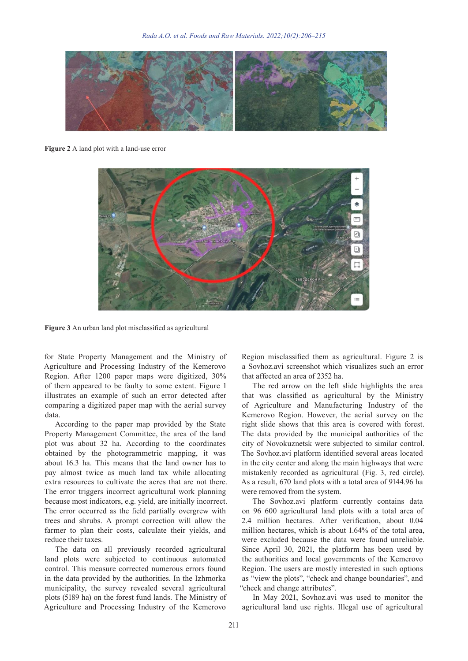

**Figure 2** A land plot with a land-use error



**Figure 3** An urban land plot misclassified as agricultural

for State Property Management and the Ministry of Agriculture and Processing Industry of the Kemerovo Region. After 1200 paper maps were digitized, 30% of them appeared to be faulty to some extent. Figure 1 illustrates an example of such an error detected after comparing a digitized paper map with the aerial survey data.

According to the paper map provided by the State Property Management Committee, the area of the land plot was about 32 ha. According to the coordinates obtained by the photogrammetric mapping, it was about 16.3 ha. This means that the land owner has to pay almost twice as much land tax while allocating extra resources to cultivate the acres that are not there. The error triggers incorrect agricultural work planning because most indicators, e.g. yield, are initially incorrect. The error occurred as the field partially overgrew with trees and shrubs. A prompt correction will allow the farmer to plan their costs, calculate their yields, and reduce their taxes.

The data on all previously recorded agricultural land plots were subjected to continuous automated control. This measure corrected numerous errors found in the data provided by the authorities. In the Izhmorka municipality, the survey revealed several agricultural plots (5189 ha) on the forest fund lands. The Ministry of Agriculture and Processing Industry of the Kemerovo

Region misclassified them as agricultural. Figure 2 is a Sovhoz.avi screenshot which visualizes such an error that affected an area of 2352 ha.

The red arrow on the left slide highlights the area that was classified as agricultural by the Ministry of Agriculture and Manufacturing Industry of the Kemerovo Region. However, the aerial survey on the right slide shows that this area is covered with forest. The data provided by the municipal authorities of the city of Novokuznetsk were subjected to similar control. The Sovhoz.avi platform identified several areas located in the city center and along the main highways that were mistakenly recorded as agricultural (Fig. 3, red circle). As a result, 670 land plots with a total area of 9144.96 ha were removed from the system.

The Sovhoz.avi platform currently contains data on 96 600 agricultural land plots with a total area of 2.4 million hectares. After verification, about 0.04 million hectares, which is about 1.64% of the total area, were excluded because the data were found unreliable. Since April 30, 2021, the platform has been used by the authorities and local governments of the Kemerovo Region. The users are mostly interested in such options as "view the plots", "check and change boundaries", and "check and change attributes".

In May 2021, Sovhoz.avi was used to monitor the agricultural land use rights. Illegal use of agricultural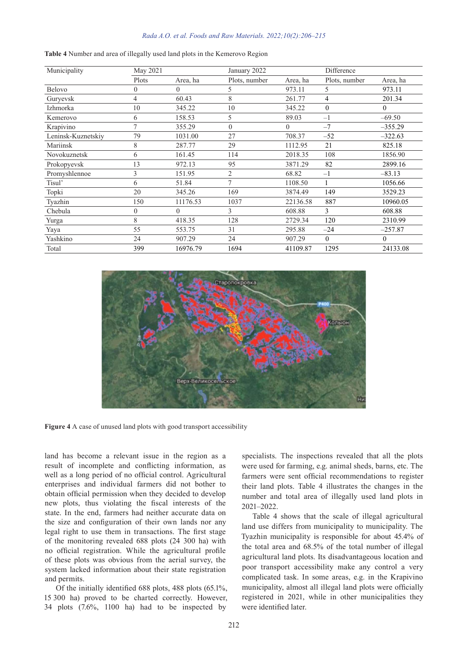#### *Rada A.O. et al. Foods and Raw Materials. 2022;10(2):206–215*

| Municipality       | May 2021       |          | January 2022   |          | Difference     |           |
|--------------------|----------------|----------|----------------|----------|----------------|-----------|
|                    | Plots          | Area, ha | Plots, number  | Area, ha | Plots, number  | Area, ha  |
| Belovo             | $\theta$       | $\Omega$ | 5              | 973.11   | 5              | 973.11    |
| Guryevsk           | 4              | 60.43    | 8              | 261.77   | $\overline{4}$ | 201.34    |
| Izhmorka           | 10             | 345.22   | 10             | 345.22   | $\mathbf{0}$   | $\theta$  |
| Kemerovo           | 6              | 158.53   | 5              | 89.03    | $-1$           | $-69.50$  |
| Krapivino          | $\overline{7}$ | 355.29   | $\theta$       | $\Omega$ | $-7$           | $-355.29$ |
| Leninsk-Kuznetskiy | 79             | 1031.00  | 27             | 708.37   | $-52$          | $-322.63$ |
| Mariinsk           | 8              | 287.77   | 29             | 1112.95  | 21             | 825.18    |
| Novokuznetsk       | 6              | 161.45   | 114            | 2018.35  | 108            | 1856.90   |
| Prokopyevsk        | 13             | 972.13   | 95             | 3871.29  | 82             | 2899.16   |
| Promyshlennoe      | 3              | 151.95   | $\overline{2}$ | 68.82    | $-1$           | $-83.13$  |
| Tisul'             | 6              | 51.84    | $\tau$         | 1108.50  |                | 1056.66   |
| Topki              | 20             | 345.26   | 169            | 3874.49  | 149            | 3529.23   |
| Tyazhin            | 150            | 11176.53 | 1037           | 22136.58 | 887            | 10960.05  |
| Chebula            | $\theta$       | $\theta$ | 3              | 608.88   | 3              | 608.88    |
| Yurga              | 8              | 418.35   | 128            | 2729.34  | 120            | 2310.99   |
| Yaya               | 55             | 553.75   | 31             | 295.88   | $-24$          | $-257.87$ |
| Yashkino           | 24             | 907.29   | 24             | 907.29   | $\mathbf{0}$   | $\theta$  |
| Total              | 399            | 16976.79 | 1694           | 41109.87 | 1295           | 24133.08  |

**Table 4** Number and area of illegally used land plots in the Kemerovo Region



**Figure 4** A case of unused land plots with good transport accessibility

land has become a relevant issue in the region as a result of incomplete and conflicting information, as well as a long period of no official control. Agricultural enterprises and individual farmers did not bother to obtain official permission when they decided to develop new plots, thus violating the fiscal interests of the state. In the end, farmers had neither accurate data on the size and configuration of their own lands nor any legal right to use them in transactions. The first stage of the monitoring revealed 688 plots (24 300 ha) with no official registration. While the agricultural profile of these plots was obvious from the aerial survey, the system lacked information about their state registration and permits.

Of the initially identified 688 plots, 488 plots (65.1%, 15 300 ha) proved to be charted correctly. However, 34 plots (7.6%, 1100 ha) had to be inspected by

specialists. The inspections revealed that all the plots were used for farming, e.g. animal sheds, barns, etc. The farmers were sent official recommendations to register their land plots. Table 4 illustrates the changes in the number and total area of illegally used land plots in 2021–2022.

Table 4 shows that the scale of illegal agricultural land use differs from municipality to municipality. The Tyazhin municipality is responsible for about 45.4% of the total area and 68.5% of the total number of illegal agricultural land plots. Its disadvantageous location and poor transport accessibility make any control a very complicated task. In some areas, e.g. in the Krapivino municipality, almost all illegal land plots were officially registered in 2021, while in other municipalities they were identified later.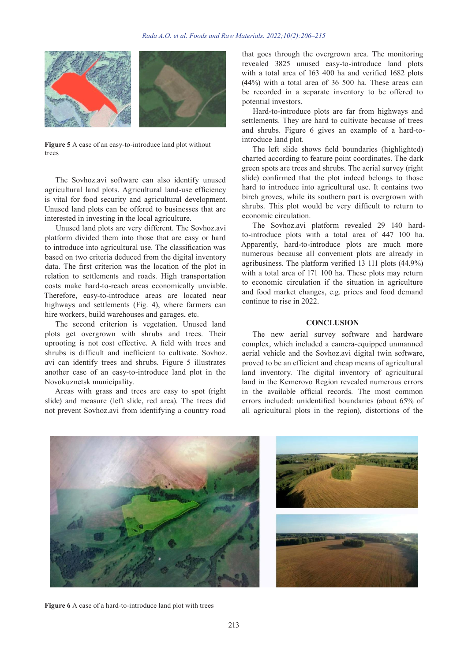

**Figure 5** A case of an easy-to-introduce land plot without trees

The Sovhoz.avi software can also identify unused agricultural land plots. Agricultural land-use efficiency is vital for food security and agricultural development. Unused land plots can be offered to businesses that are interested in investing in the local agriculture.

Unused land plots are very different. The Sovhoz.avi platform divided them into those that are easy or hard to introduce into agricultural use. The classification was based on two criteria deduced from the digital inventory data. The first criterion was the location of the plot in relation to settlements and roads. High transportation costs make hard-to-reach areas economically unviable. Therefore, easy-to-introduce areas are located near highways and settlements (Fig. 4), where farmers can hire workers, build warehouses and garages, etc.

The second criterion is vegetation. Unused land plots get overgrown with shrubs and trees. Their uprooting is not cost effective. A field with trees and shrubs is difficult and inefficient to cultivate. Sovhoz. avi can identify trees and shrubs. Figure 5 illustrates another case of an easy-to-introduce land plot in the Novokuznetsk municipality.

Areas with grass and trees are easy to spot (right slide) and measure (left slide, red area). The trees did not prevent Sovhoz.avi from identifying a country road

that goes through the overgrown area. The monitoring revealed 3825 unused easy-to-introduce land plots with a total area of 163 400 ha and verified 1682 plots (44%) with a total area of 36 500 ha. These areas can be recorded in a separate inventory to be offered to potential investors.

Hard-to-introduce plots are far from highways and settlements. They are hard to cultivate because of trees and shrubs. Figure 6 gives an example of a hard-tointroduce land plot.

The left slide shows field boundaries (highlighted) charted according to feature point coordinates. The dark green spots are trees and shrubs. The aerial survey (right slide) confirmed that the plot indeed belongs to those hard to introduce into agricultural use. It contains two birch groves, while its southern part is overgrown with shrubs. This plot would be very difficult to return to economic circulation.

The Sovhoz.avi platform revealed 29 140 hardto-introduce plots with a total area of 447 100 ha. Apparently, hard-to-introduce plots are much more numerous because all convenient plots are already in agribusiness. The platform verified 13 111 plots (44.9%) with a total area of 171 100 ha. These plots may return to economic circulation if the situation in agriculture and food market changes, e.g. prices and food demand continue to rise in 2022.

#### **CONCLUSION**

The new aerial survey software and hardware complex, which included a camera-equipped unmanned aerial vehicle and the Sovhoz.avi digital twin software, proved to be an efficient and cheap means of agricultural land inventory. The digital inventory of agricultural land in the Kemerovo Region revealed numerous errors in the available official records. The most common errors included: unidentified boundaries (about 65% of all agricultural plots in the region), distortions of the



**Figure 6** A case of a hard-to-introduce land plot with trees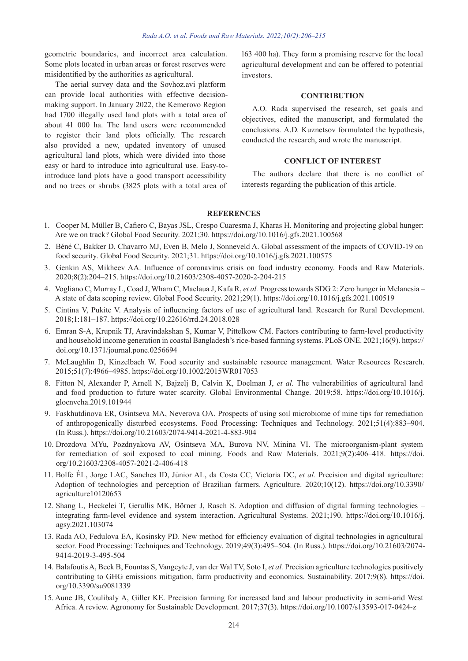geometric boundaries, and incorrect area calculation. Some plots located in urban areas or forest reserves were misidentified by the authorities as agricultural.

The aerial survey data and the Sovhoz.avi platform can provide local authorities with effective decisionmaking support. In January 2022, the Kemerovo Region had 1700 illegally used land plots with a total area of about 41 000 ha. The land users were recommended to register their land plots officially. The research also provided a new, updated inventory of unused agricultural land plots, which were divided into those easy or hard to introduce into agricultural use. Easy-tointroduce land plots have a good transport accessibility and no trees or shrubs (3825 plots with a total area of 163 400 ha). They form a promising reserve for the local agricultural development and can be offered to potential investors.

# **CONTRIBUTION**

A.O. Rada supervised the research, set goals and objectives, edited the manuscript, and formulated the conclusions. A.D. Kuznetsov formulated the hypothesis, conducted the research, and wrote the manuscript.

## **CONFLICT OF INTEREST**

The authors declare that there is no conflict of interests regarding the publication of this article.

## **REFERENCES**

- 1. Cooper M, Müller B, Cafiero C, Bayas JSL, Crespo Cuaresma J, Kharas H. Monitoring and projecting global hunger: Are we on track? Global Food Security. 2021;30. https://doi.org/10.1016/j.gfs.2021.100568
- 2. Béné C, Bakker D, Chavarro MJ, Even B, Melo J, Sonneveld A. Global assessment of the impacts of COVID-19 on food security. Global Food Security. 2021;31. https://doi.org/10.1016/j.gfs.2021.100575
- 3. Genkin AS, Mikheev AA. Influence of coronavirus crisis on food industry economy. Foods and Raw Materials. 2020;8(2):204–215. https://doi.org/10.21603/2308-4057-2020-2-204-215
- 4. Vogliano C, Murray L, Coad J, Wham C, Maelaua J, Kafa R, *et al.* Progress towards SDG 2: Zero hunger in Melanesia A state of data scoping review. Global Food Security. 2021;29(1). https://doi.org/10.1016/j.gfs.2021.100519
- 5. Cintina V, Pukite V. Analysis of influencing factors of use of agricultural land. Research for Rural Development. 2018;1:181–187. https://doi.org/10.22616/rrd.24.2018.028
- 6. Emran S-A, Krupnik TJ, Aravindakshan S, Kumar V, Pittelkow CM. Factors contributing to farm-level productivity and household income generation in coastal Bangladesh's rice-based farming systems. PLoS ONE. 2021;16(9). https:// doi.org/10.1371/journal.pone.0256694
- 7. McLaughlin D, Kinzelbach W. Food security and sustainable resource management. Water Resources Research. 2015;51(7):4966–4985. https://doi.org/10.1002/2015WR017053
- 8. Fitton N, Alexander P, Arnell N, Bajzelj B, Calvin K, Doelman J, *et al.* The vulnerabilities of agricultural land and food production to future water scarcity. Global Environmental Change. 2019;58. https://doi.org/10.1016/j. gloenvcha.2019.101944
- 9. Faskhutdinova ER, Osintseva MA, Neverova OA. Prospects of using soil microbiome of mine tips for remediation of anthropogenically disturbed ecosystems. Food Processing: Techniques and Technology. 2021;51(4):883–904. (In Russ.). https://doi.org/10.21603/2074-9414-2021-4-883-904
- 10. Drozdova MYu, Pozdnyakova AV, Osintseva MA, Burova NV, Minina VI. The microorganism-plant system for remediation of soil exposed to coal mining. Foods and Raw Materials. 2021;9(2):406–418. https://doi. org/10.21603/2308-4057-2021-2-406-418
- 11. Bolfe ÉL, Jorge LAC, Sanches ID, Júnior AL, da Costa CC, Victoria DC, *et al.* Precision and digital agriculture: Adoption of technologies and perception of Brazilian farmers. Agriculture. 2020;10(12). https://doi.org/10.3390/ agriculture10120653
- 12. Shang L, Heckelei T, Gerullis MK, Börner J, Rasch S. Adoption and diffusion of digital farming technologies integrating farm-level evidence and system interaction. Agricultural Systems. 2021;190. https://doi.org/10.1016/j. agsy.2021.103074
- 13. Rada AO, Fedulova EA, Kosinsky PD. New method for efficiency evaluation of digital technologies in agricultural sector. Food Processing: Techniques and Technology. 2019;49(3):495–504. (In Russ.). https://doi.org/10.21603/2074- 9414-2019-3-495-504
- 14. Balafoutis A, Beck B, Fountas S, Vangeyte J, van der Wal TV, Soto I, *et al.* Precision agriculture technologies positively contributing to GHG emissions mitigation, farm productivity and economics. Sustainability. 2017;9(8). https://doi. org/10.3390/su9081339
- 15. Aune JB, Coulibaly A, Giller KE. Precision farming for increased land and labour productivity in semi-arid West Africa. A review. Agronomy for Sustainable Development. 2017;37(3). https://doi.org/10.1007/s13593-017-0424-z